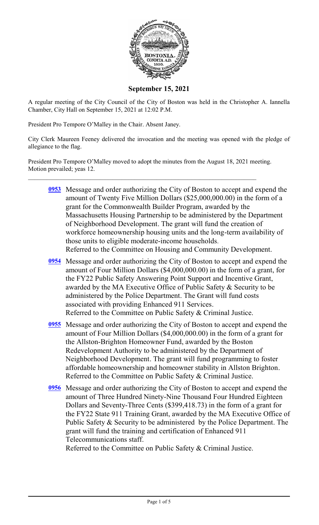

**September 15, 2021**

A regular meeting of the City Council of the City of Boston was held in the Christopher A. Iannella Chamber, City Hall on September 15, 2021 at 12:02 P.M.

President Pro Tempore O'Malley in the Chair. Absent Janey.

City Clerk Maureen Feeney delivered the invocation and the meeting was opened with the pledge of allegiance to the flag.

President Pro Tempore O'Malley moved to adopt the minutes from the August 18, 2021 meeting. Motion prevailed; yeas 12.

- **[0953](http://boston.legistar.com/gateway.aspx?m=l&id=/matter.aspx?key=4745)** Message and order authorizing the City of Boston to accept and expend the amount of Twenty Five Million Dollars (\$25,000,000.00) in the form of a grant for the Commonwealth Builder Program, awarded by the Massachusetts Housing Partnership to be administered by the Department of Neighborhood Development. The grant will fund the creation of workforce homeownership housing units and the long-term availability of those units to eligible moderate-income households. Referred to the Committee on Housing and Community Development.
- **[0954](http://boston.legistar.com/gateway.aspx?m=l&id=/matter.aspx?key=4778)** Message and order authorizing the City of Boston to accept and expend the amount of Four Million Dollars (\$4,000,000.00) in the form of a grant, for the FY22 Public Safety Answering Point Support and Incentive Grant, awarded by the MA Executive Office of Public Safety & Security to be administered by the Police Department. The Grant will fund costs associated with providing Enhanced 911 Services. Referred to the Committee on Public Safety & Criminal Justice.
- **[0955](http://boston.legistar.com/gateway.aspx?m=l&id=/matter.aspx?key=4753)** Message and order authorizing the City of Boston to accept and expend the amount of Four Million Dollars (\$4,000,000.00) in the form of a grant for the Allston-Brighton Homeowner Fund, awarded by the Boston Redevelopment Authority to be administered by the Department of Neighborhood Development. The grant will fund programming to foster affordable homeownership and homeowner stability in Allston Brighton. Referred to the Committee on Public Safety & Criminal Justice.
- **[0956](http://boston.legistar.com/gateway.aspx?m=l&id=/matter.aspx?key=4752)** Message and order authorizing the City of Boston to accept and expend the amount of Three Hundred Ninety-Nine Thousand Four Hundred Eighteen Dollars and Seventy-Three Cents (\$399,418.73) in the form of a grant for the FY22 State 911 Training Grant, awarded by the MA Executive Office of Public Safety & Security to be administered by the Police Department. The grant will fund the training and certification of Enhanced 911 Telecommunications staff.

Referred to the Committee on Public Safety & Criminal Justice.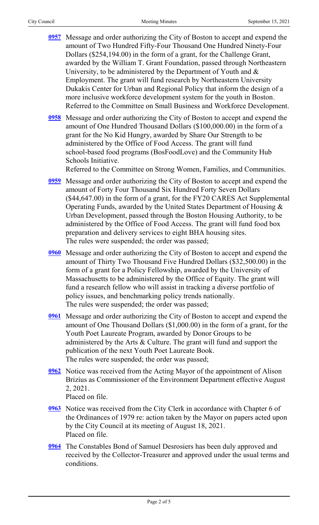- **[0957](http://boston.legistar.com/gateway.aspx?m=l&id=/matter.aspx?key=4754)** Message and order authorizing the City of Boston to accept and expend the amount of Two Hundred Fifty-Four Thousand One Hundred Ninety-Four Dollars (\$254,194.00) in the form of a grant, for the Challenge Grant, awarded by the William T. Grant Foundation, passed through Northeastern University, to be administered by the Department of Youth and  $\&$ Employment. The grant will fund research by Northeastern University Dukakis Center for Urban and Regional Policy that inform the design of a more inclusive workforce development system for the youth in Boston. Referred to the Committee on Small Business and Workforce Development.
- **[0958](http://boston.legistar.com/gateway.aspx?m=l&id=/matter.aspx?key=4755)** Message and order authorizing the City of Boston to accept and expend the amount of One Hundred Thousand Dollars (\$100,000.00) in the form of a grant for the No Kid Hungry, awarded by Share Our Strength to be administered by the Office of Food Access. The grant will fund school-based food programs (BosFoodLove) and the Community Hub Schools Initiative.

Referred to the Committee on Strong Women, Families, and Communities.

- **[0959](http://boston.legistar.com/gateway.aspx?m=l&id=/matter.aspx?key=4756)** Message and order authorizing the City of Boston to accept and expend the amount of Forty Four Thousand Six Hundred Forty Seven Dollars (\$44,647.00) in the form of a grant, for the FY20 CARES Act Supplemental Operating Funds, awarded by the United States Department of Housing & Urban Development, passed through the Boston Housing Authority, to be administered by the Office of Food Access. The grant will fund food box preparation and delivery services to eight BHA housing sites. The rules were suspended; the order was passed;
- **[0960](http://boston.legistar.com/gateway.aspx?m=l&id=/matter.aspx?key=4757)** Message and order authorizing the City of Boston to accept and expend the amount of Thirty Two Thousand Five Hundred Dollars (\$32,500.00) in the form of a grant for a Policy Fellowship, awarded by the University of Massachusetts to be administered by the Office of Equity. The grant will fund a research fellow who will assist in tracking a diverse portfolio of policy issues, and benchmarking policy trends nationally. The rules were suspended; the order was passed;
- **[0961](http://boston.legistar.com/gateway.aspx?m=l&id=/matter.aspx?key=4758)** Message and order authorizing the City of Boston to accept and expend the amount of One Thousand Dollars (\$1,000.00) in the form of a grant, for the Youth Poet Laureate Program, awarded by Donor Groups to be administered by the Arts & Culture. The grant will fund and support the publication of the next Youth Poet Laureate Book. The rules were suspended; the order was passed;
- **[0962](http://boston.legistar.com/gateway.aspx?m=l&id=/matter.aspx?key=4547)** Notice was received from the Acting Mayor of the appointment of Alison Brizius as Commissioner of the Environment Department effective August 2, 2021. Placed on file.
- **[0963](http://boston.legistar.com/gateway.aspx?m=l&id=/matter.aspx?key=4775)** Notice was received from the City Clerk in accordance with Chapter 6 of the Ordinances of 1979 re: action taken by the Mayor on papers acted upon by the City Council at its meeting of August 18, 2021. Placed on file.
- **[0964](http://boston.legistar.com/gateway.aspx?m=l&id=/matter.aspx?key=4783)** The Constables Bond of Samuel Desrosiers has been duly approved and received by the Collector-Treasurer and approved under the usual terms and conditions.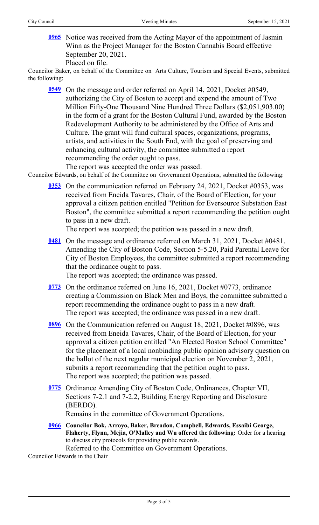**[0965](http://boston.legistar.com/gateway.aspx?m=l&id=/matter.aspx?key=4786)** Notice was received from the Acting Mayor of the appointment of Jasmin Winn as the Project Manager for the Boston Cannabis Board effective September 20, 2021.

Placed on file.

Councilor Baker, on behalf of the Committee on Arts Culture, Tourism and Special Events, submitted the following:

**[0549](http://boston.legistar.com/gateway.aspx?m=l&id=/matter.aspx?key=4555)** On the message and order referred on April 14, 2021, Docket #0549, authorizing the City of Boston to accept and expend the amount of Two Million Fifty-One Thousand Nine Hundred Three Dollars (\$2,051,903.00) in the form of a grant for the Boston Cultural Fund, awarded by the Boston Redevelopment Authority to be administered by the Office of Arts and Culture. The grant will fund cultural spaces, organizations, programs, artists, and activities in the South End, with the goal of preserving and enhancing cultural activity, the committee submitted a report recommending the order ought to pass.

The report was accepted the order was passed.

Councilor Edwards, on behalf of the Committee on Government Operations, submitted the following:

**[0353](http://boston.legistar.com/gateway.aspx?m=l&id=/matter.aspx?key=4656)** On the communication referred on February 24, 2021, Docket #0353, was received from Eneida Tavares, Chair, of the Board of Election, for your approval a citizen petition entitled "Petition for Eversource Substation East Boston", the committee submitted a report recommending the petition ought to pass in a new draft.

The report was accepted; the petition was passed in a new draft.

**[0481](http://boston.legistar.com/gateway.aspx?m=l&id=/matter.aspx?key=4671)** On the message and ordinance referred on March 31, 2021, Docket #0481, Amending the City of Boston Code, Section 5-5.20, Paid Parental Leave for City of Boston Employees, the committee submitted a report recommending that the ordinance ought to pass.

The report was accepted; the ordinance was passed.

- **[0773](http://boston.legistar.com/gateway.aspx?m=l&id=/matter.aspx?key=4781)** On the ordinance referred on June 16, 2021, Docket #0773, ordinance creating a Commission on Black Men and Boys, the committee submitted a report recommending the ordinance ought to pass in a new draft. The report was accepted; the ordinance was passed in a new draft.
- **[0896](http://boston.legistar.com/gateway.aspx?m=l&id=/matter.aspx?key=3494)** On the Communication referred on August 18, 2021, Docket #0896, was received from Eneida Tavares, Chair, of the Board of Election, for your approval a citizen petition entitled "An Elected Boston School Committee" for the placement of a local nonbinding public opinion advisory question on the ballot of the next regular municipal election on November 2, 2021, submits a report recommending that the petition ought to pass. The report was accepted; the petition was passed.
- **[0775](http://boston.legistar.com/gateway.aspx?m=l&id=/matter.aspx?key=4720)** Ordinance Amending City of Boston Code, Ordinances, Chapter VII, Sections 7-2.1 and 7-2.2, Building Energy Reporting and Disclosure (BERDO).

Remains in the committee of Government Operations.

**[0966](http://boston.legistar.com/gateway.aspx?m=l&id=/matter.aspx?key=4772) Councilor Bok, Arroyo, Baker, Breadon, Campbell, Edwards, Essaibi George, Flaherty, Flynn, Mejia, O'Malley and Wu offered the following:** Order for a hearing to discuss city protocols for providing public records. Referred to the Committee on Government Operations.

Councilor Edwards in the Chair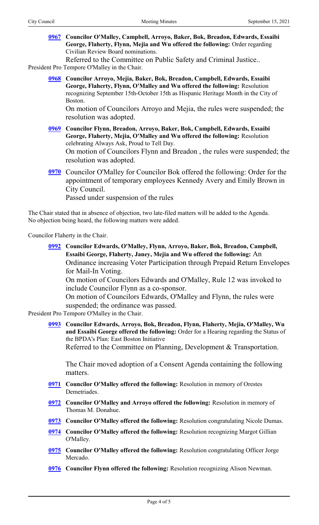**[0967](http://boston.legistar.com/gateway.aspx?m=l&id=/matter.aspx?key=4780) Councilor O'Malley, Campbell, Arroyo, Baker, Bok, Breadon, Edwards, Essaibi George, Flaherty, Flynn, Mejia and Wu offered the following:** Order regarding Civilian Review Board nominations.

Referred to the Committee on Public Safety and Criminal Justice..

President Pro Tempore O'Malley in the Chair.

**[0968](http://boston.legistar.com/gateway.aspx?m=l&id=/matter.aspx?key=4776) Councilor Arroyo, Mejia, Baker, Bok, Breadon, Campbell, Edwards, Essaibi George, Flaherty, Flynn, O'Malley and Wu offered the following:** Resolution recognizing September 15th-October 15th as Hispanic Heritage Month in the City of Boston.

On motion of Councilors Arroyo and Mejia, the rules were suspended; the resolution was adopted.

- **[0969](http://boston.legistar.com/gateway.aspx?m=l&id=/matter.aspx?key=4784) Councilor Flynn, Breadon, Arroyo, Baker, Bok, Campbell, Edwards, Essaibi George, Flaherty, Mejia, O'Malley and Wu offered the following:** Resolution celebrating Always Ask, Proud to Tell Day. On motion of Councilors Flynn and Breadon , the rules were suspended; the resolution was adopted.
- **[0970](http://boston.legistar.com/gateway.aspx?m=l&id=/matter.aspx?key=4785)** Councilor O'Malley for Councilor Bok offered the following: Order for the appointment of temporary employees Kennedy Avery and Emily Brown in City Council.

Passed under suspension of the rules

The Chair stated that in absence of objection, two late-filed matters will be added to the Agenda. No objection being heard, the following matters were added.

Councilor Flaherty in the Chair.

- **[0992](http://boston.legistar.com/gateway.aspx?m=l&id=/matter.aspx?key=4799) Councilor Edwards, O'Malley, Flynn, Arroyo, Baker, Bok, Breadon, Campbell, Essaibi George, Flaherty, Janey, Mejia and Wu offered the following:** An Ordinance increasing Voter Participation through Prepaid Return Envelopes for Mail-In Voting. On motion of Councilors Edwards and O'Malley, Rule 12 was invoked to include Councilor Flynn as a co-sponsor. On motion of Councilors Edwards, O'Malley and Flynn, the rules were suspended; the ordinance was passed. President Pro Tempore O'Malley in the Chair.
	- **[0993](http://boston.legistar.com/gateway.aspx?m=l&id=/matter.aspx?key=4800) Councilor Edwards, Arroyo, Bok, Breadon, Flynn, Flaherty, Mejia, O'Malley, Wu and Essaibi George offered the following:** Order for a Hearing regarding the Status of the BPDA's Plan: East Boston Initiative Referred to the Committee on Planning, Development & Transportation.

The Chair moved adoption of a Consent Agenda containing the following matters.

- **[0971](http://boston.legistar.com/gateway.aspx?m=l&id=/matter.aspx?key=4546) Councilor O'Malley offered the following:** Resolution in memory of Orestes Demetriades.
- **[0972](http://boston.legistar.com/gateway.aspx?m=l&id=/matter.aspx?key=4549) Councilor O'Malley and Arroyo offered the following:** Resolution in memory of Thomas M. Donahue.
- **[0973](http://boston.legistar.com/gateway.aspx?m=l&id=/matter.aspx?key=4551) Councilor O'Malley offered the following:** Resolution congratulating Nicole Dumas.
- **[0974](http://boston.legistar.com/gateway.aspx?m=l&id=/matter.aspx?key=4552) Councilor O'Malley offered the following:** Resolution recognizing Margot Gillian O'Malley.
- **[0975](http://boston.legistar.com/gateway.aspx?m=l&id=/matter.aspx?key=4572) Councilor O'Malley offered the following:** Resolution congratulating Officer Jorge Mercado.
- **[0976](http://boston.legistar.com/gateway.aspx?m=l&id=/matter.aspx?key=4577) Councilor Flynn offered the following:** Resolution recognizing Alison Newman.